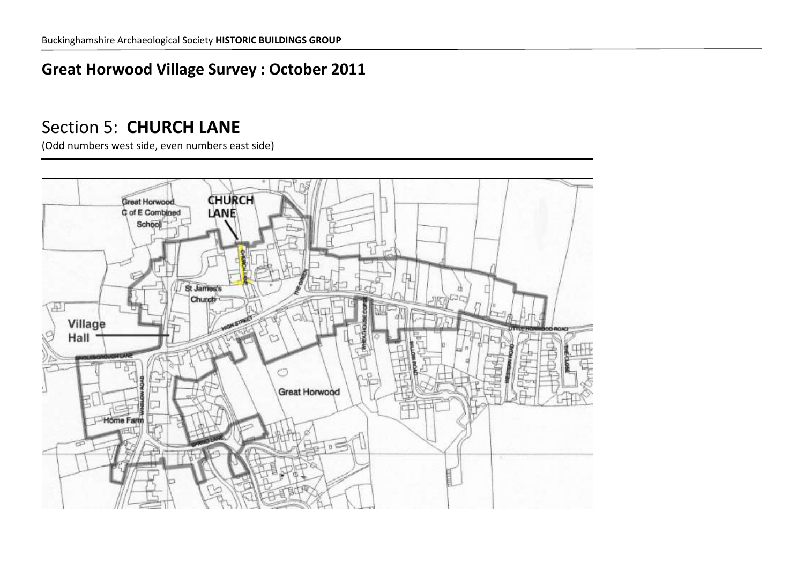# **Great Horwood Village Survey : October 2011**

# Section 5: **CHURCH LANE**

(Odd numbers west side, even numbers east side)

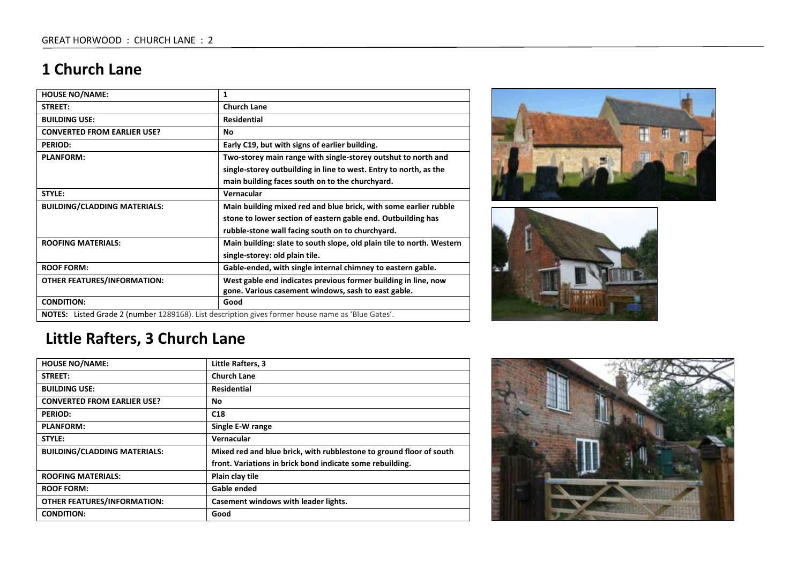# **1 Church Lane**

| <b>HOUSE NO/NAME:</b>                                                                                    | 1                                                                     |
|----------------------------------------------------------------------------------------------------------|-----------------------------------------------------------------------|
| <b>STREET:</b>                                                                                           | <b>Church Lane</b>                                                    |
| <b>BUILDING USE:</b>                                                                                     | <b>Residential</b>                                                    |
| <b>CONVERTED FROM EARLIER USE?</b>                                                                       | No                                                                    |
| <b>PERIOD:</b>                                                                                           | Early C19, but with signs of earlier building.                        |
| <b>PLANFORM:</b>                                                                                         | Two-storey main range with single-storey outshut to north and         |
|                                                                                                          | single-storey outbuilding in line to west. Entry to north, as the     |
|                                                                                                          | main building faces south on to the churchyard.                       |
| STYLE:                                                                                                   | Vernacular                                                            |
| <b>BUILDING/CLADDING MATERIALS:</b>                                                                      | Main building mixed red and blue brick, with some earlier rubble      |
|                                                                                                          | stone to lower section of eastern gable end. Outbuilding has          |
|                                                                                                          | rubble-stone wall facing south on to churchyard.                      |
| <b>ROOFING MATERIALS:</b>                                                                                | Main building: slate to south slope, old plain tile to north. Western |
|                                                                                                          | single-storey: old plain tile.                                        |
| <b>ROOF FORM:</b>                                                                                        | Gable-ended, with single internal chimney to eastern gable.           |
| <b>OTHER FEATURES/INFORMATION:</b>                                                                       | West gable end indicates previous former building in line, now        |
|                                                                                                          | gone. Various casement windows, sash to east gable.                   |
| <b>CONDITION:</b>                                                                                        | Good                                                                  |
| <b>NOTES:</b> Listed Grade 2 (number 1289168). List description gives former house name as 'Blue Gates'. |                                                                       |





# **Little Rafters, 3 Church Lane**

| <b>HOUSE NO/NAME:</b>               | Little Rafters, 3                                                   |
|-------------------------------------|---------------------------------------------------------------------|
| STREET:                             | <b>Church Lane</b>                                                  |
| <b>BUILDING USE:</b>                | <b>Residential</b>                                                  |
| <b>CONVERTED FROM EARLIER USE?</b>  | No.                                                                 |
| <b>PERIOD:</b>                      | C18                                                                 |
| <b>PLANFORM:</b>                    | Single E-W range                                                    |
| STYLE:                              | Vernacular                                                          |
| <b>BUILDING/CLADDING MATERIALS:</b> | Mixed red and blue brick, with rubblestone to ground floor of south |
|                                     | front. Variations in brick bond indicate some rebuilding.           |
| <b>ROOFING MATERIALS:</b>           | Plain clay tile                                                     |
| <b>ROOF FORM:</b>                   | Gable ended                                                         |
| <b>OTHER FEATURES/INFORMATION:</b>  | Casement windows with leader lights.                                |
| <b>CONDITION:</b>                   | Good                                                                |